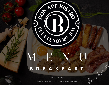# M E N U **B R E A K F A S T**

STAPP BIS

**O** 

 $\color{red}$ 

ENBERG

WIFI CODE 11223344

ALL BON APP STAFF IS FULLY VACCINATED AGAINST COVID 19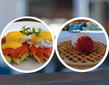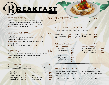# **REAKFAST**

## EGGS BENEDICT (G)

2 eggs poached to your preference, set atop 2 crispy potato rosti, avocado slices and a silky hollandaise sauce with your choice of streaky bacon or gypsy ham **R30** REPLACE with smoked salmon

## THE FULL PLETTONIAN

2 eggs, grilled cherry tomatoes, sautéed mushrooms, 2 chipolata sausages, 2 rashers of bacon and sautéed potatoes and 2 slices of toast GLUTEN FREE option of roasted butternut/sweet potato

instead of toast ADD Grilled or fried halloumi cheese **R15**

PLETT TOAST

Delicious french toast sprinkled with cinnamon sugar, streaky bacon, banana and lashings of sweet maple syrup ADD Cheddar cheese **R15**

## BON FRITTATA(V)

An open style 3 eggs omelette with your choice of fillings and topped off with cheddar cheese

> **R20 R25 R40**

- Diced bacon
- Diced ham
- Smoked salmon
- Caramelised onion **R5**
- Sautéed mushrooms **R20**

# **R65**

**R80**

- 
- 
- 
- 
- 

## FORMOSA FLAPJACKS (V)

Delicious buttery flapjacks crispy on the outside and soft on the inside smothered in creamy butter and cinnamon sugar with honey or maple syrup

## HEALTH BOWL (V) **R80**

Muesli served with your choice of flavour yogurt and selection of seasonal fruits

## FRESHLY BAKED CROISSANTS **R25**

Served with your choice of jam and butter or:

| • Gypsy ham         | R <sub>25</sub> | · Grilled baby tomatoes | <b>R20</b>      |
|---------------------|-----------------|-------------------------|-----------------|
| • Scrambled egg R12 |                 | · Smoked salmon         | <b>R40</b>      |
| . White cheddar R15 |                 | • Crème fraiche         | R <sub>25</sub> |

## WRECK WAFFLE

- Fruit salad **R30**
- Sautéed apples **R15**
- Berry compote **R20**
- **R15**
- **R10 R30**
- 
- 
- **R10**

**R25**

**R60**

## **Sweet Toppings Savoury Toppings**

- Crispy bacon bits Caramelised onions **R20**
- Sautéed capsicums **R5 R20**

**R45**

- - Honey
		- Syrup • Chopped nuts
			- Vanilla ice cream **R10**
			- Whipped cream

**R20 R20 R25 R10 R15**



Grilled baby tomatoes

Sweet pepper Avocado Sautéed potato • White cheddar